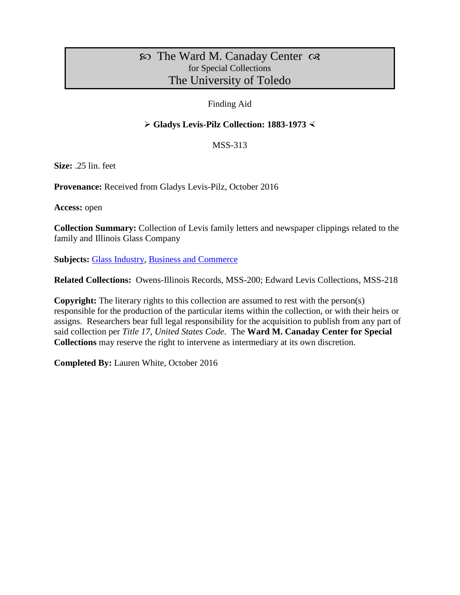# $\infty$  The Ward M. Canaday Center  $\infty$ for Special Collections The University of Toledo

### Finding Aid

# **Gladys Levis-Pilz Collection: 1883-1973**

### MSS-313

**Size:** .25 lin. feet

**Provenance:** Received from Gladys Levis-Pilz, October 2016

**Access:** open

**Collection Summary:** Collection of Levis family letters and newspaper clippings related to the family and Illinois Glass Company

**Subjects:** [Glass Industry,](http://www.utoledo.edu/library/canaday/guidepages/glass.html) [Business and Commerce](http://www.utoledo.edu/library/canaday/guidepages/business.html)

**Related Collections:** Owens-Illinois Records, MSS-200; Edward Levis Collections, MSS-218

**Copyright:** The literary rights to this collection are assumed to rest with the person(s) responsible for the production of the particular items within the collection, or with their heirs or assigns. Researchers bear full legal responsibility for the acquisition to publish from any part of said collection per *Title 17, United States Code*. The **Ward M. Canaday Center for Special Collections** may reserve the right to intervene as intermediary at its own discretion.

**Completed By:** Lauren White, October 2016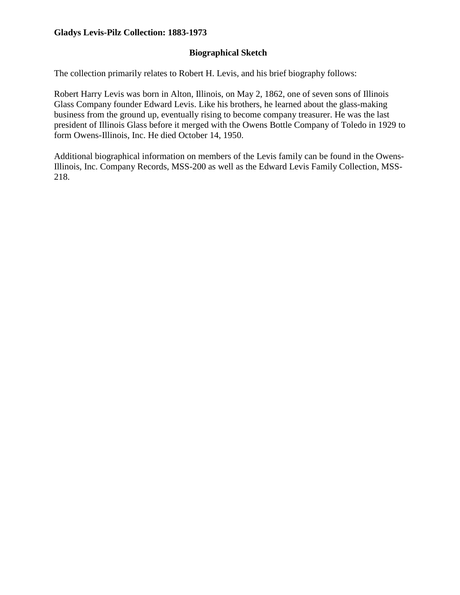# **Biographical Sketch**

The collection primarily relates to Robert H. Levis, and his brief biography follows:

Robert Harry Levis was born in Alton, Illinois, on May 2, 1862, one of seven sons of Illinois Glass Company founder Edward Levis. Like his brothers, he learned about the glass-making business from the ground up, eventually rising to become company treasurer. He was the last president of Illinois Glass before it merged with the Owens Bottle Company of Toledo in 1929 to form Owens-Illinois, Inc. He died October 14, 1950.

Additional biographical information on members of the Levis family can be found in the Owens-Illinois, Inc. Company Records, MSS-200 as well as the Edward Levis Family Collection, MSS-218.